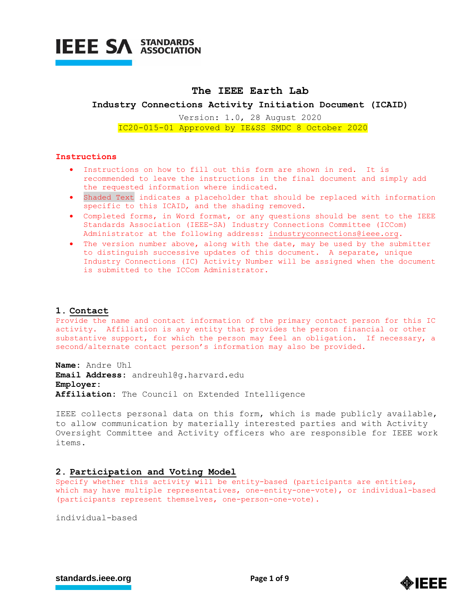

# **The IEEE Earth Lab**

**Industry Connections Activity Initiation Document (ICAID)**

Version: 1.0, 28 August 2020 IC20-015-01 Approved by IE&SS SMDC 8 October 2020

#### **Instructions**

- Instructions on how to fill out this form are shown in red. It is recommended to leave the instructions in the final document and simply add the requested information where indicated.
- Shaded Text indicates a placeholder that should be replaced with information specific to this ICAID, and the shading removed.
- Completed forms, in Word format, or any questions should be sent to the IEEE Standards Association (IEEE-SA) Industry Connections Committee (ICCom) Administrator at the following address: [industryconnections@ieee.org.](mailto:industryconnections@ieee.org)
- The version number above, along with the date, may be used by the submitter to distinguish successive updates of this document. A separate, unique Industry Connections (IC) Activity Number will be assigned when the document is submitted to the ICCom Administrator.

#### **1. Contact**

Provide the name and contact information of the primary contact person for this IC activity. Affiliation is any entity that provides the person financial or other substantive support, for which the person may feel an obligation. If necessary, a second/alternate contact person's information may also be provided.

**Name:** Andre Uhl **Email Address:** andreuhl@g.harvard.edu **Employer: Affiliation:** The Council on Extended Intelligence

IEEE collects personal data on this form, which is made publicly available, to allow communication by materially interested parties and with Activity Oversight Committee and Activity officers who are responsible for IEEE work items.

## **2. Participation and Voting Model**

Specify whether this activity will be entity-based (participants are entities, which may have multiple representatives, one-entity-one-vote), or individual-based (participants represent themselves, one-person-one-vote).

individual-based



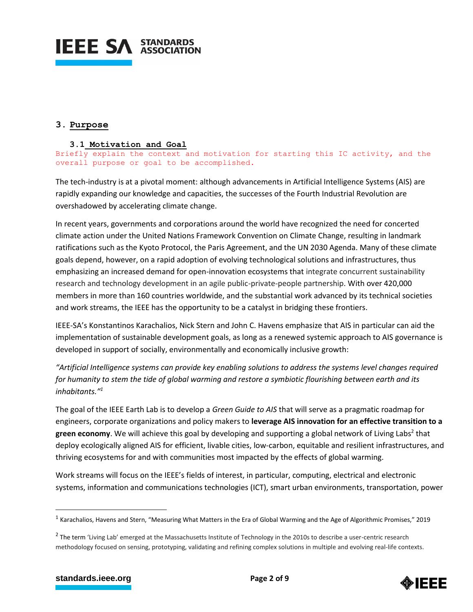

# **3. Purpose**

## **3.1 Motivation and Goal**

Briefly explain the context and motivation for starting this IC activity, and the overall purpose or goal to be accomplished.

The tech-industry is at a pivotal moment: although advancements in Artificial Intelligence Systems (AIS) are rapidly expanding our knowledge and capacities, the successes of the Fourth Industrial Revolution are overshadowed by accelerating climate change.

In recent years, governments and corporations around the world have recognized the need for concerted climate action under the United Nations Framework Convention on Climate Change, resulting in landmark ratifications such as the Kyoto Protocol, the Paris Agreement, and the UN 2030 Agenda. Many of these climate goals depend, however, on a rapid adoption of evolving technological solutions and infrastructures, thus emphasizing an increased demand for open-innovation ecosystems that integrate concurrent sustainability research and technology development in an agile public-private-people partnership. With over 420,000 members in more than 160 countries worldwide, and the substantial work advanced by its technical societies and work streams, the IEEE has the opportunity to be a catalyst in bridging these frontiers.

IEEE-SA's Konstantinos Karachalios, Nick Stern and John C. Havens emphasize that AIS in particular can aid the implementation of sustainable development goals, as long as a renewed systemic approach to AIS governance is developed in support of socially, environmentally and economically inclusive growth:

*"Artificial Intelligence systems can provide key enabling solutions to address the systems level changes required for humanity to stem the tide of global warming and restore a symbiotic flourishing between earth and its inhabitants."<sup>1</sup>*

The goal of the IEEE Earth Lab is to develop a *Green Guide to AIS* that will serve as a pragmatic roadmap for engineers, corporate organizations and policy makers to **leverage AIS innovation for an effective transition to a**  green economy. We will achieve this goal by developing and supporting a global network of Living Labs<sup>2</sup> that deploy ecologically aligned AIS for efficient, livable cities, low‐carbon, equitable and resilient infrastructures, and thriving ecosystems for and with communities most impacted by the effects of global warming.

Work streams will focus on the IEEE's fields of interest, in particular, computing, electrical and electronic systems, information and communications technologies (ICT), smart urban environments, transportation, power

 $\overline{a}$ 



<sup>&</sup>lt;sup>1</sup> Karachalios, Havens and Stern, "Measuring What Matters in the Era of Global Warming and the Age of Algorithmic Promises," 2019

 $^2$  The term 'Living Lab' emerged at the Massachusetts Institute of Technology in the 2010s to describe a user-centric research methodology focused on sensing, prototyping, validating and refining complex solutions in multiple and evolving real-life contexts.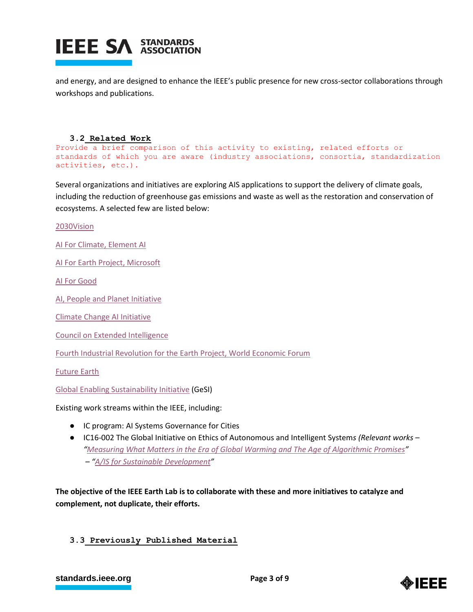

and energy, and are designed to enhance the IEEE's public presence for new cross-sector collaborations through workshops and publications.

## **3.2 Related Work**

```
Provide a brief comparison of this activity to existing, related efforts or 
standards of which you are aware (industry associations, consortia, standardization 
activities, etc.).
```
Several organizations and initiatives are exploring AIS applications to support the delivery of climate goals, including the reduction of greenhouse gas emissions and waste as well as the restoration and conservation of ecosystems. A selected few are listed below:

[2030Vision](https://www.2030vision.com/)

[AI For Climate, Element AI](https://www.elementai.com/ai-for-climate)

[AI For Earth Project, Microsoft](https://www.microsoft.com/en-us/ai/ai-for-earth)

[AI For Good](https://aiforgood.itu.int/)

[AI, People and Planet Initiative](https://www.aipeopleplanet.earth/about-us)

[Climate Change AI Initiative](https://www.climatechange.ai/about)

[Council on Extended Intelligence](http://globalcxi.org/)

[Fourth Industrial Revolution for the Earth Project, World Economic Forum](https://www.weforum.org/projects/fourth-industrial-revolution-and-environment-the-stanford-dialogues)

[Future Earth](https://futureearth.org/)

[Global Enabling Sustainability Initiative](https://gesi.org/) (GeSI)

Existing work streams within the IEEE, including:

- IC program: AI Systems Governance for Cities
- IC16-002 The Global Initiative on Ethics of Autonomous and Intelligent System*s (Relevant works – "[Measuring What Matters in the Era of Global Warming and The Age of Algorithmic Promises](https://standards.ieee.org/content/dam/ieee-standards/standards/web/documents/other/ec-measuring-what-matters.pdf)" – "[A/IS for Sustainable Development](https://standards.ieee.org/content/dam/ieee-standards/standards/web/documents/other/ead1e_ais_sustainable_dev.pdf?utm_medium=undefined&utm_source=undefined&utm_campaign=undefined&utm_content=undefined&utm_term=undefined)"*

**The objective of the IEEE Earth Lab is to collaborate with these and more initiatives to catalyze and complement, not duplicate, their efforts.** 

## **3.3 Previously Published Material**

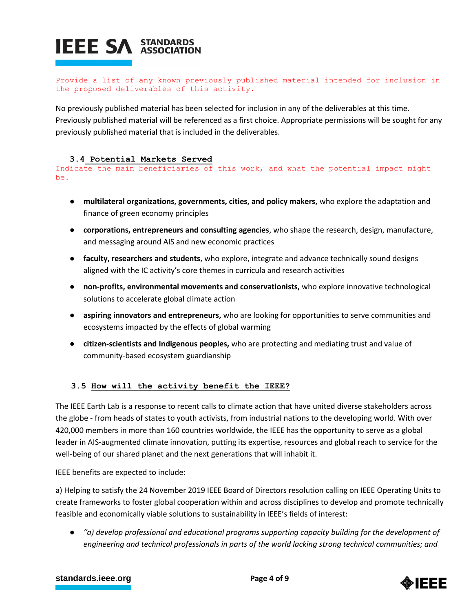Provide a list of any known previously published material intended for inclusion in the proposed deliverables of this activity.

No previously published material has been selected for inclusion in any of the deliverables at this time. Previously published material will be referenced as a first choice. Appropriate permissions will be sought for any previously published material that is included in the deliverables.

# **3.4 Potential Markets Served**

Indicate the main beneficiaries of this work, and what the potential impact might be.

- **multilateral organizations, governments, cities, and policy makers,** who explore the adaptation and finance of green economy principles
- **corporations, entrepreneurs and consulting agencies**, who shape the research, design, manufacture, and messaging around AIS and new economic practices
- **faculty, researchers and students**, who explore, integrate and advance technically sound designs aligned with the IC activity's core themes in curricula and research activities
- **non-profits, environmental movements and conservationists,** who explore innovative technological solutions to accelerate global climate action
- **aspiring innovators and entrepreneurs,** who are looking for opportunities to serve communities and ecosystems impacted by the effects of global warming
- **citizen-scientists and Indigenous peoples,** who are protecting and mediating trust and value of community-based ecosystem guardianship

# **3.5 How will the activity benefit the IEEE?**

The IEEE Earth Lab is a response to recent calls to climate action that have united diverse stakeholders across the globe - from heads of states to youth activists, from industrial nations to the developing world. With over 420,000 members in more than 160 countries worldwide, the IEEE has the opportunity to serve as a global leader in AIS-augmented climate innovation, putting its expertise, resources and global reach to service for the well-being of our shared planet and the next generations that will inhabit it.

IEEE benefits are expected to include:

a) Helping to satisfy the 24 November 2019 IEEE Board of Directors resolution calling on IEEE Operating Units to create frameworks to foster global cooperation within and across disciplines to develop and promote technically feasible and economically viable solutions to sustainability in IEEE's fields of interest:

● *"a) develop professional and educational programs supporting capacity building for the development of engineering and technical professionals in parts of the world lacking strong technical communities; and*

# **[standards.ieee.org](http://standards.ieee.org/) EXECUTE: Page 4 of 9**

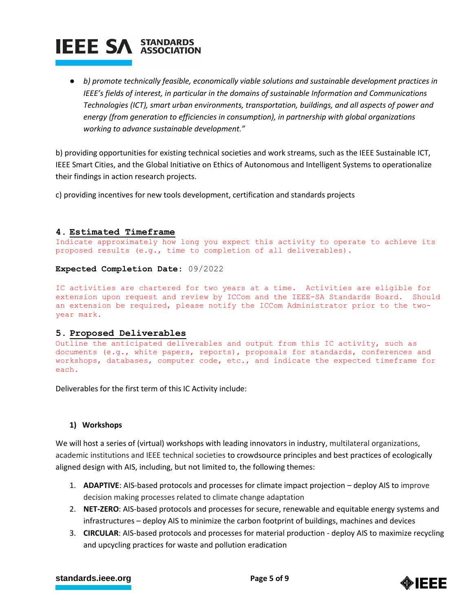● *b) promote technically feasible, economically viable solutions and sustainable development practices in IEEE's fields of interest, in particular in the domains of sustainable Information and Communications Technologies (ICT), smart urban environments, transportation, buildings, and all aspects of power and energy (from generation to efficiencies in consumption), in partnership with global organizations working to advance sustainable development."*

b) providing opportunities for existing technical societies and work streams, such as the IEEE Sustainable ICT, IEEE Smart Cities, and the Global Initiative on Ethics of Autonomous and Intelligent Systems to operationalize their findings in action research projects.

c) providing incentives for new tools development, certification and standards projects

# **4. Estimated Timeframe**

Indicate approximately how long you expect this activity to operate to achieve its proposed results (e.g., time to completion of all deliverables).

**Expected Completion Date:** 09/2022

IC activities are chartered for two years at a time. Activities are eligible for extension upon request and review by ICCom and the IEEE-SA Standards Board. Should an extension be required, please notify the ICCom Administrator prior to the twoyear mark.

## **5. Proposed Deliverables**

Outline the anticipated deliverables and output from this IC activity, such as documents (e.g., white papers, reports), proposals for standards, conferences and workshops, databases, computer code, etc., and indicate the expected timeframe for each.

Deliverables for the first term of this IC Activity include:

## **1) Workshops**

We will host a series of (virtual) workshops with leading innovators in industry, multilateral organizations, academic institutions and IEEE technical societies to crowdsource principles and best practices of ecologically aligned design with AIS, including, but not limited to, the following themes:

- 1. **ADAPTIVE**: AIS-based protocols and processes for climate impact projection deploy AIS to improve decision making processes related to climate change adaptation
- 2. **NET-ZERO**: AIS-based protocols and processes for secure, renewable and equitable energy systems and infrastructures – deploy AIS to minimize the carbon footprint of buildings, machines and devices
- 3. **CIRCULAR**: AIS-based protocols and processes for material production deploy AIS to maximize recycling and upcycling practices for waste and pollution eradication

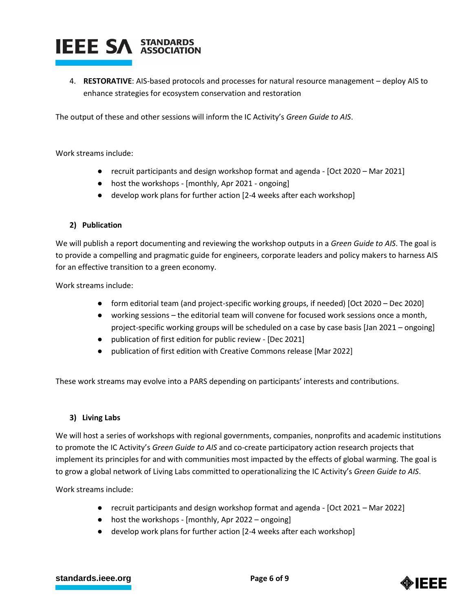4. **RESTORATIVE**: AIS-based protocols and processes for natural resource management – deploy AIS to enhance strategies for ecosystem conservation and restoration

The output of these and other sessions will inform the IC Activity's *Green Guide to AIS*.

Work streams include:

- recruit participants and design workshop format and agenda [Oct 2020 Mar 2021]
- host the workshops [monthly, Apr 2021 ongoing]
- develop work plans for further action [2-4 weeks after each workshop]

# **2) Publication**

We will publish a report documenting and reviewing the workshop outputs in a *Green Guide to AIS*. The goal is to provide a compelling and pragmatic guide for engineers, corporate leaders and policy makers to harness AIS for an effective transition to a green economy.

Work streams include:

- form editorial team (and project-specific working groups, if needed) [Oct 2020 Dec 2020]
- working sessions the editorial team will convene for focused work sessions once a month, project-specific working groups will be scheduled on a case by case basis [Jan 2021 – ongoing]
- publication of first edition for public review [Dec 2021]
- publication of first edition with Creative Commons release [Mar 2022]

These work streams may evolve into a PARS depending on participants' interests and contributions.

# **3) Living Labs**

We will host a series of workshops with regional governments, companies, nonprofits and academic institutions to promote the IC Activity's *Green Guide to AIS* and co-create participatory action research projects that implement its principles for and with communities most impacted by the effects of global warming. The goal is to grow a global network of Living Labs committed to operationalizing the IC Activity's *Green Guide to AIS*.

Work streams include:

- recruit participants and design workshop format and agenda [Oct 2021 Mar 2022]
- host the workshops [monthly, Apr 2022 ongoing]
- develop work plans for further action [2-4 weeks after each workshop]

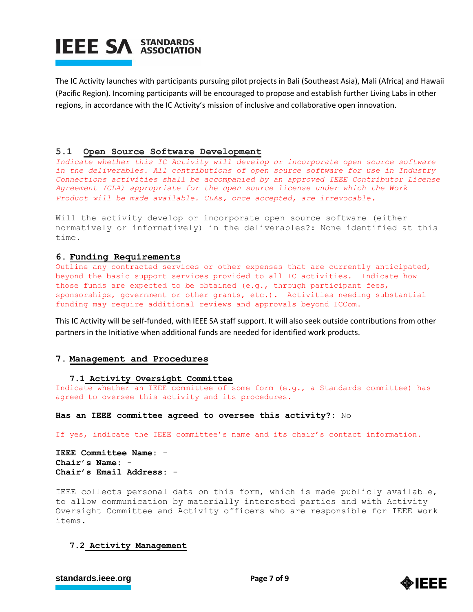The IC Activity launches with participants pursuing pilot projects in Bali (Southeast Asia), Mali (Africa) and Hawaii (Pacific Region). Incoming participants will be encouraged to propose and establish further Living Labs in other regions, in accordance with the IC Activity's mission of inclusive and collaborative open innovation.

# **5.1 Open Source Software Development**

Indicate whether this IC Activity will develop or incorporate open source software *in the deliverables. All contributions of open source software for use in Industry Connections activities shall be accompanied by an approved IEEE Contributor License Agreement (CLA) appropriate for the open source license under which the Work Product will be made available. CLAs, once accepted, are irrevocable.*

Will the activity develop or incorporate open source software (either normatively or informatively) in the deliverables?: None identified at this time.

## **6. Funding Requirements**

Outline any contracted services or other expenses that are currently anticipated, beyond the basic support services provided to all IC activities. Indicate how those funds are expected to be obtained (e.g., through participant fees, sponsorships, government or other grants, etc.). Activities needing substantial funding may require additional reviews and approvals beyond ICCom.

This IC Activity will be self-funded, with IEEE SA staff support. It will also seek outside contributions from other partners in the Initiative when additional funds are needed for identified work products.

## **7. Management and Procedures**

#### **7.1 Activity Oversight Committee**

Indicate whether an IEEE committee of some form (e.g., a Standards committee) has agreed to oversee this activity and its procedures.

**Has an IEEE committee agreed to oversee this activity?:** No

If yes, indicate the IEEE committee's name and its chair's contact information.

**IEEE Committee Name:** - **Chair's Name:** - **Chair's Email Address:** -

IEEE collects personal data on this form, which is made publicly available, to allow communication by materially interested parties and with Activity Oversight Committee and Activity officers who are responsible for IEEE work items.

## **7.2 Activity Management**



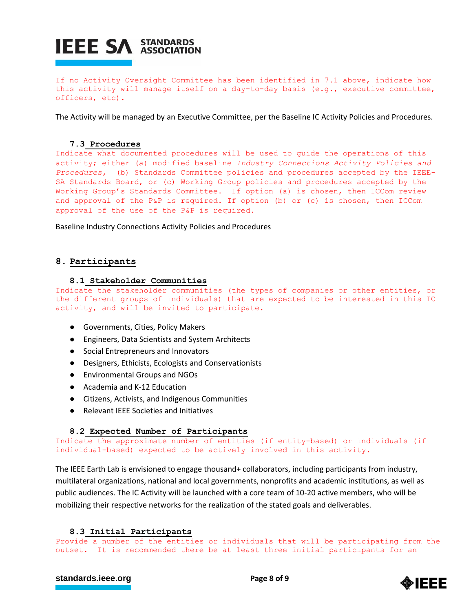

If no Activity Oversight Committee has been identified in 7.1 above, indicate how this activity will manage itself on a day-to-day basis (e.g., executive committee, officers, etc).

The Activity will be managed by an Executive Committee, per the Baseline IC Activity Policies and Procedures.

#### **7.3 Procedures**

Indicate what documented procedures will be used to guide the operations of this activity; either (a) modified baseline *Industry Connections Activity Policies and Procedures,* (b) Standards Committee policies and procedures accepted by the IEEE-SA Standards Board, or (c) Working Group policies and procedures accepted by the Working Group's Standards Committee. If option (a) is chosen, then ICCom review and approval of the P&P is required. If option (b) or (c) is chosen, then ICCom approval of the use of the P&P is required.

Baseline Industry Connections Activity Policies and Procedures

# **8. Participants**

#### **8.1 Stakeholder Communities**

Indicate the stakeholder communities (the types of companies or other entities, or the different groups of individuals) that are expected to be interested in this IC activity, and will be invited to participate.

- Governments, Cities, Policy Makers
- Engineers, Data Scientists and System Architects
- Social Entrepreneurs and Innovators
- Designers, Ethicists, Ecologists and Conservationists
- Environmental Groups and NGOs
- Academia and K-12 Education
- Citizens, Activists, and Indigenous Communities
- Relevant IEEE Societies and Initiatives

## **8.2 Expected Number of Participants**

Indicate the approximate number of entities (if entity-based) or individuals (if individual-based) expected to be actively involved in this activity.

The IEEE Earth Lab is envisioned to engage thousand+ collaborators, including participants from industry, multilateral organizations, national and local governments, nonprofits and academic institutions, as well as public audiences. The IC Activity will be launched with a core team of 10-20 active members, who will be mobilizing their respective networks for the realization of the stated goals and deliverables.

#### **8.3 Initial Participants**

Provide a number of the entities or individuals that will be participating from the outset. It is recommended there be at least three initial participants for an

# **[standards.ieee.org](http://standards.ieee.org/) EXECUTE: Page 8 of 9**